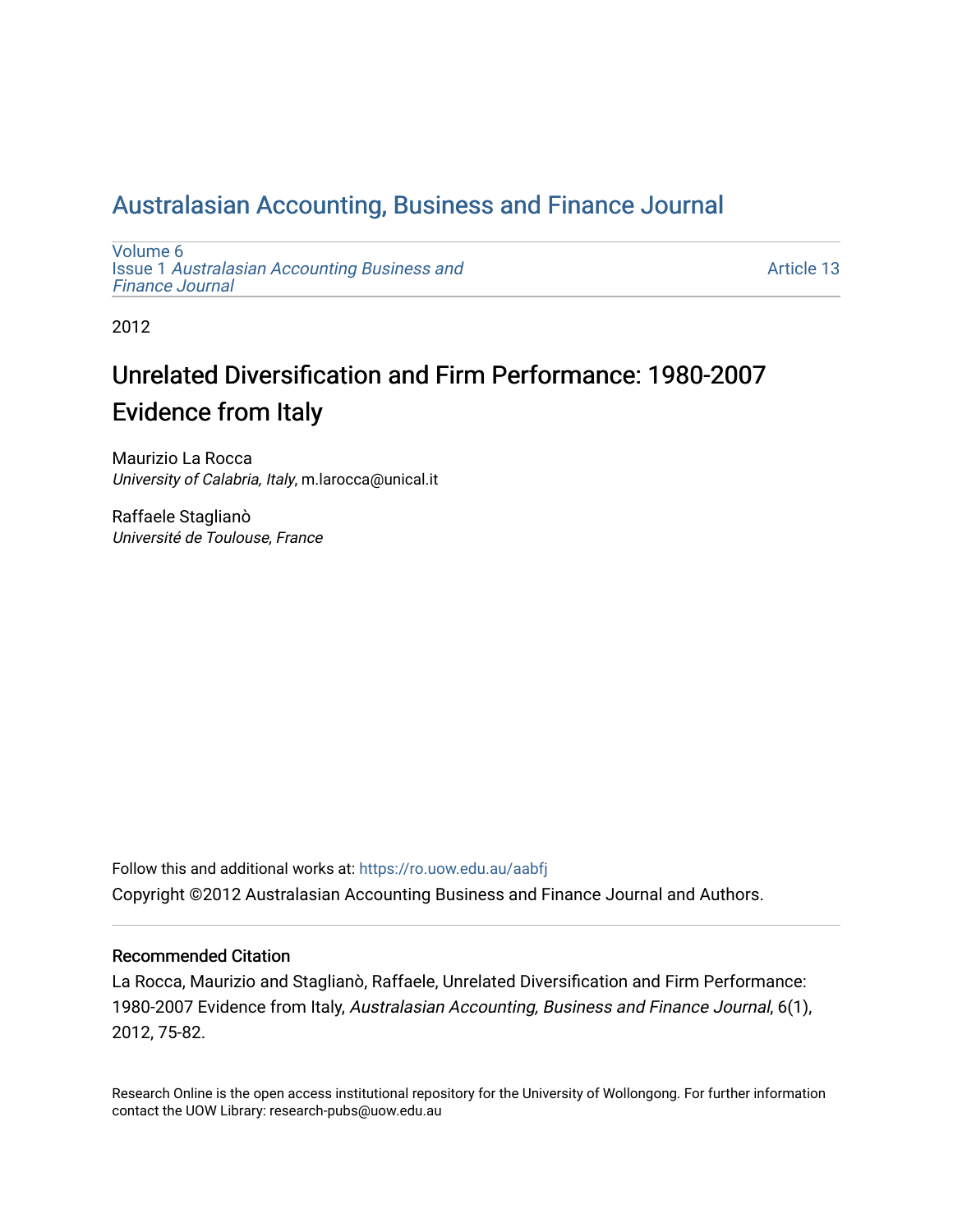# [Australasian Accounting, Business and Finance Journal](https://ro.uow.edu.au/aabfj)

[Volume 6](https://ro.uow.edu.au/aabfj/vol6) Issue 1 [Australasian Accounting Business and](https://ro.uow.edu.au/aabfj/vol6/iss1) [Finance Journal](https://ro.uow.edu.au/aabfj/vol6/iss1) 

[Article 13](https://ro.uow.edu.au/aabfj/vol6/iss1/13) 

2012

# Unrelated Diversification and Firm Performance: 1980-2007 Evidence from Italy

Maurizio La Rocca University of Calabria, Italy, m.larocca@unical.it

Raffaele Staglianò Université de Toulouse, France

Follow this and additional works at: [https://ro.uow.edu.au/aabfj](https://ro.uow.edu.au/aabfj?utm_source=ro.uow.edu.au%2Faabfj%2Fvol6%2Fiss1%2F13&utm_medium=PDF&utm_campaign=PDFCoverPages) Copyright ©2012 Australasian Accounting Business and Finance Journal and Authors.

#### Recommended Citation

La Rocca, Maurizio and Staglianò, Raffaele, Unrelated Diversification and Firm Performance: 1980-2007 Evidence from Italy, Australasian Accounting, Business and Finance Journal, 6(1), 2012, 75-82.

Research Online is the open access institutional repository for the University of Wollongong. For further information contact the UOW Library: research-pubs@uow.edu.au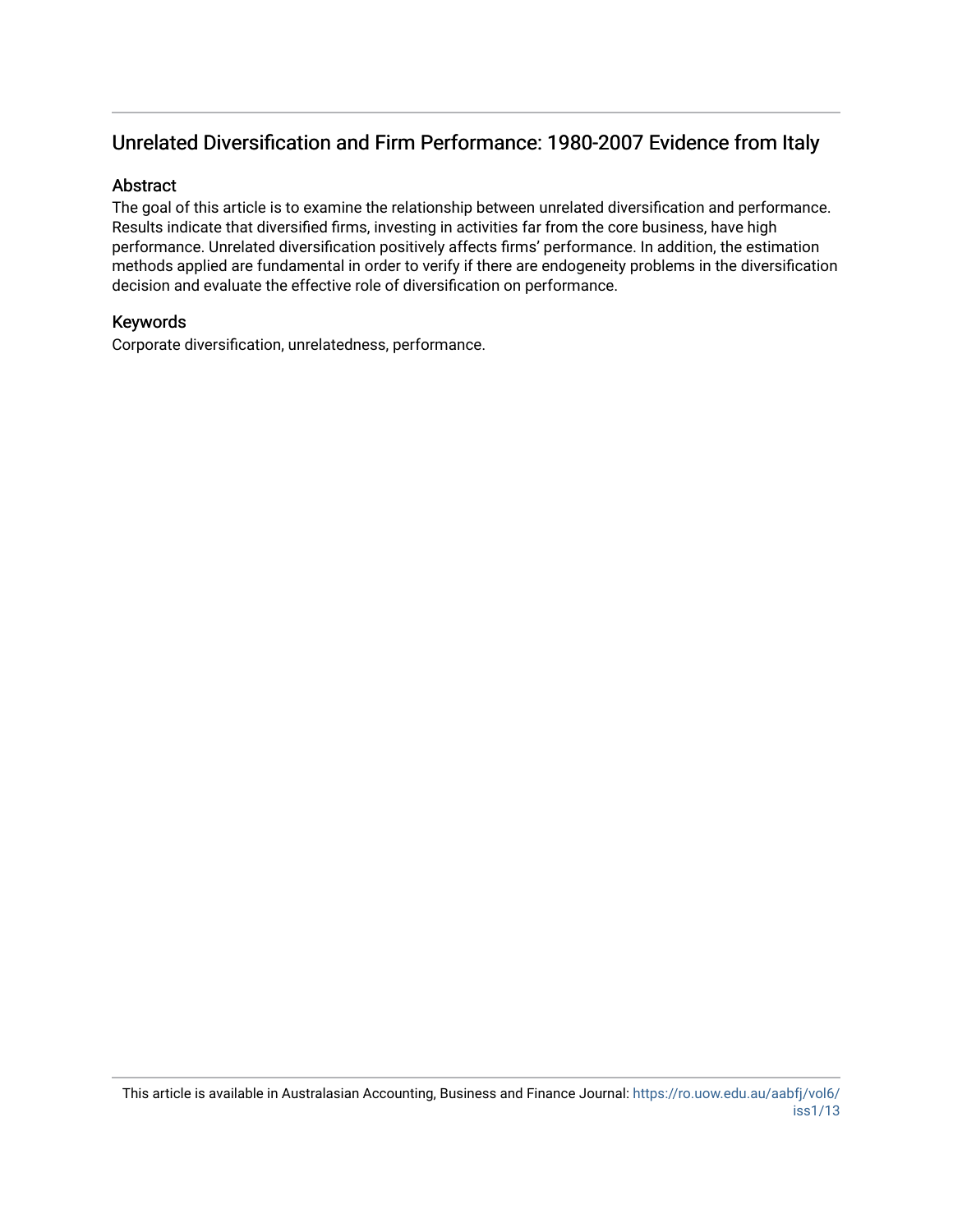# Unrelated Diversification and Firm Performance: 1980-2007 Evidence from Italy

#### Abstract

The goal of this article is to examine the relationship between unrelated diversification and performance. Results indicate that diversified firms, investing in activities far from the core business, have high performance. Unrelated diversification positively affects firms' performance. In addition, the estimation methods applied are fundamental in order to verify if there are endogeneity problems in the diversification decision and evaluate the effective role of diversification on performance.

### Keywords

Corporate diversification, unrelatedness, performance.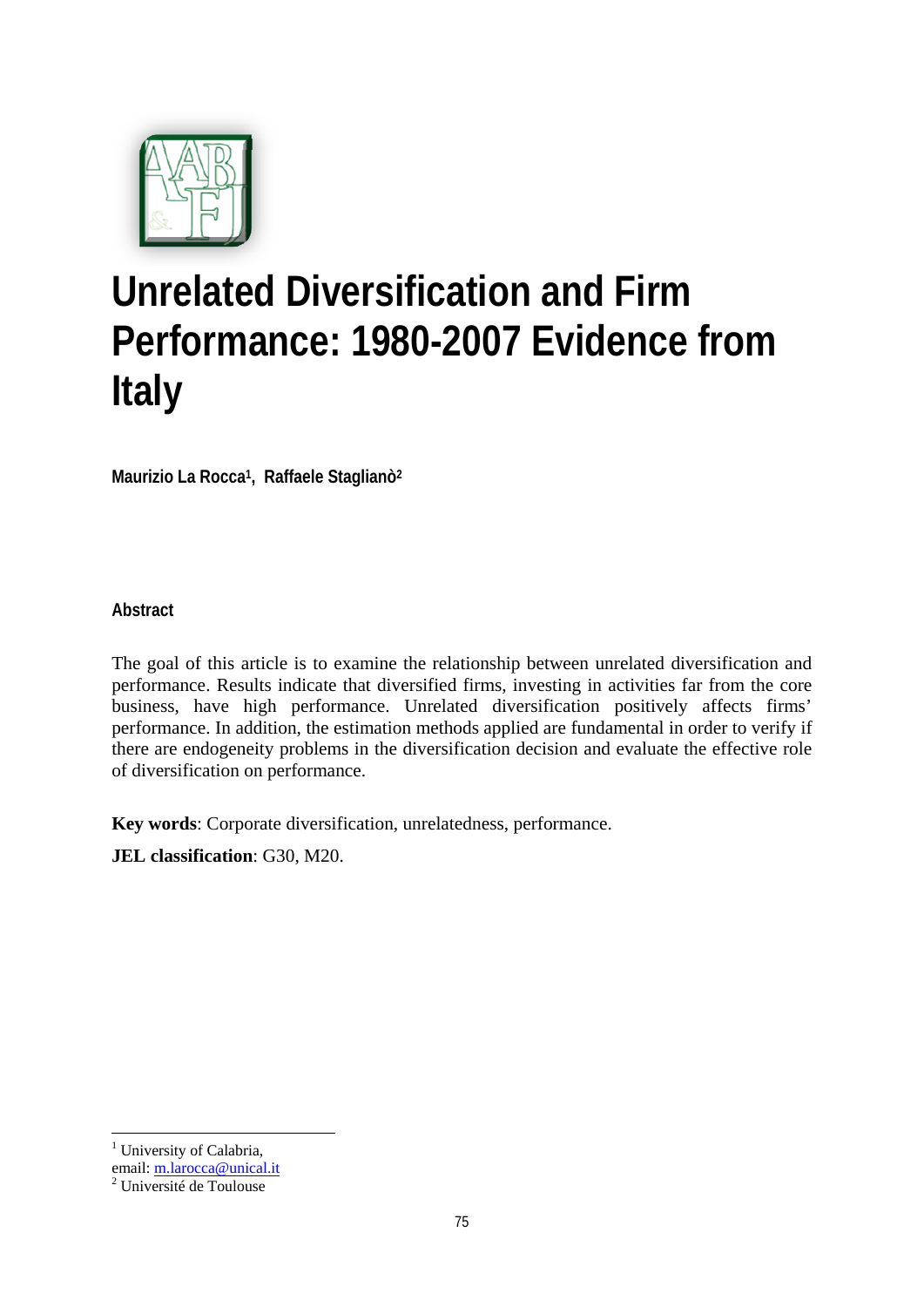

# **Unrelated Diversification and Firm Performance: 1980-2007 Evidence from Italy**

**Maurizio La Rocca1, Raffaele Staglianò2**

**Abstract** 

The goal of this article is to examine the relationship between unrelated diversification and performance. Results indicate that diversified firms, investing in activities far from the core business, have high performance. Unrelated diversification positively affects firms' performance. In addition, the estimation methods applied are fundamental in order to verify if there are endogeneity problems in the diversification decision and evaluate the effective role of diversification on performance.

**Key words**: Corporate diversification, unrelatedness, performance.

**JEL classification**: G30, M20.

<sup>1</sup> <sup>1</sup> University of Calabria,

email: m.larocca@unical.it <sup>2</sup>

Université de Toulouse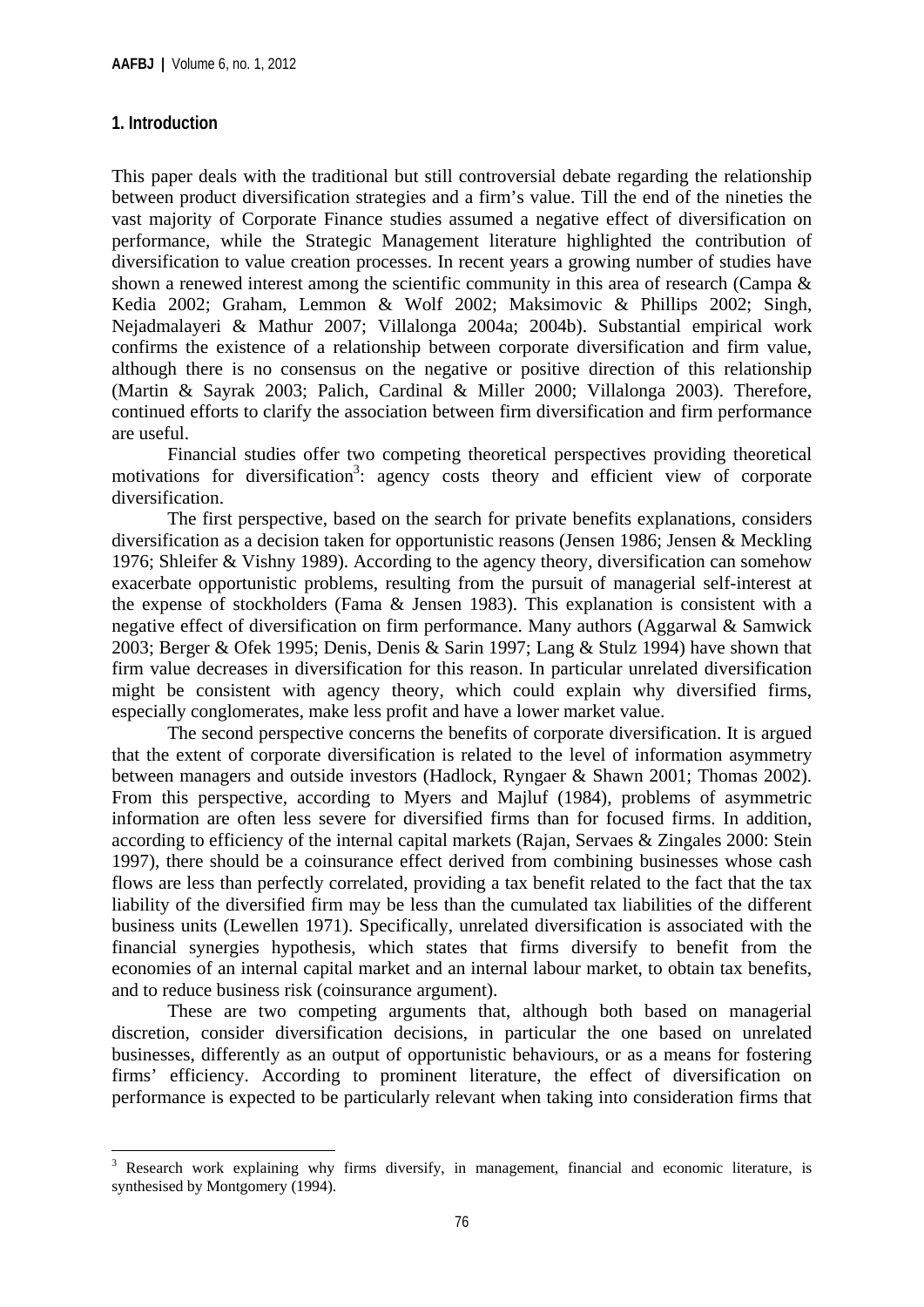# **1. Introduction**

This paper deals with the traditional but still controversial debate regarding the relationship between product diversification strategies and a firm's value. Till the end of the nineties the vast majority of Corporate Finance studies assumed a negative effect of diversification on performance, while the Strategic Management literature highlighted the contribution of diversification to value creation processes. In recent years a growing number of studies have shown a renewed interest among the scientific community in this area of research (Campa & Kedia 2002; Graham*,* Lemmon & Wolf 2002; Maksimovic & Phillips 2002; Singh, Nejadmalayeri & Mathur 2007; Villalonga 2004a; 2004b). Substantial empirical work confirms the existence of a relationship between corporate diversification and firm value, although there is no consensus on the negative or positive direction of this relationship (Martin & Sayrak 2003; Palich, Cardinal & Miller 2000; Villalonga 2003). Therefore, continued efforts to clarify the association between firm diversification and firm performance are useful.

Financial studies offer two competing theoretical perspectives providing theoretical motivations for diversification<sup>3</sup>: agency costs theory and efficient view of corporate diversification.

The first perspective, based on the search for private benefits explanations, considers diversification as a decision taken for opportunistic reasons (Jensen 1986; Jensen & Meckling 1976; Shleifer & Vishny 1989). According to the agency theory, diversification can somehow exacerbate opportunistic problems, resulting from the pursuit of managerial self-interest at the expense of stockholders (Fama & Jensen 1983). This explanation is consistent with a negative effect of diversification on firm performance. Many authors (Aggarwal & Samwick 2003; Berger & Ofek 1995; Denis, Denis & Sarin 1997; Lang & Stulz 1994) have shown that firm value decreases in diversification for this reason. In particular unrelated diversification might be consistent with agency theory, which could explain why diversified firms, especially conglomerates, make less profit and have a lower market value.

The second perspective concerns the benefits of corporate diversification. It is argued that the extent of corporate diversification is related to the level of information asymmetry between managers and outside investors (Hadlock, Ryngaer & Shawn 2001; Thomas 2002). From this perspective, according to Myers and Majluf (1984), problems of asymmetric information are often less severe for diversified firms than for focused firms. In addition, according to efficiency of the internal capital markets (Rajan, Servaes & Zingales 2000: Stein 1997), there should be a coinsurance effect derived from combining businesses whose cash flows are less than perfectly correlated, providing a tax benefit related to the fact that the tax liability of the diversified firm may be less than the cumulated tax liabilities of the different business units (Lewellen 1971). Specifically, unrelated diversification is associated with the financial synergies hypothesis, which states that firms diversify to benefit from the economies of an internal capital market and an internal labour market, to obtain tax benefits, and to reduce business risk (coinsurance argument).

These are two competing arguments that, although both based on managerial discretion, consider diversification decisions, in particular the one based on unrelated businesses, differently as an output of opportunistic behaviours, or as a means for fostering firms' efficiency. According to prominent literature, the effect of diversification on performance is expected to be particularly relevant when taking into consideration firms that

<sup>&</sup>lt;u>.</u> 3 Research work explaining why firms diversify, in management, financial and economic literature, is synthesised by Montgomery (1994).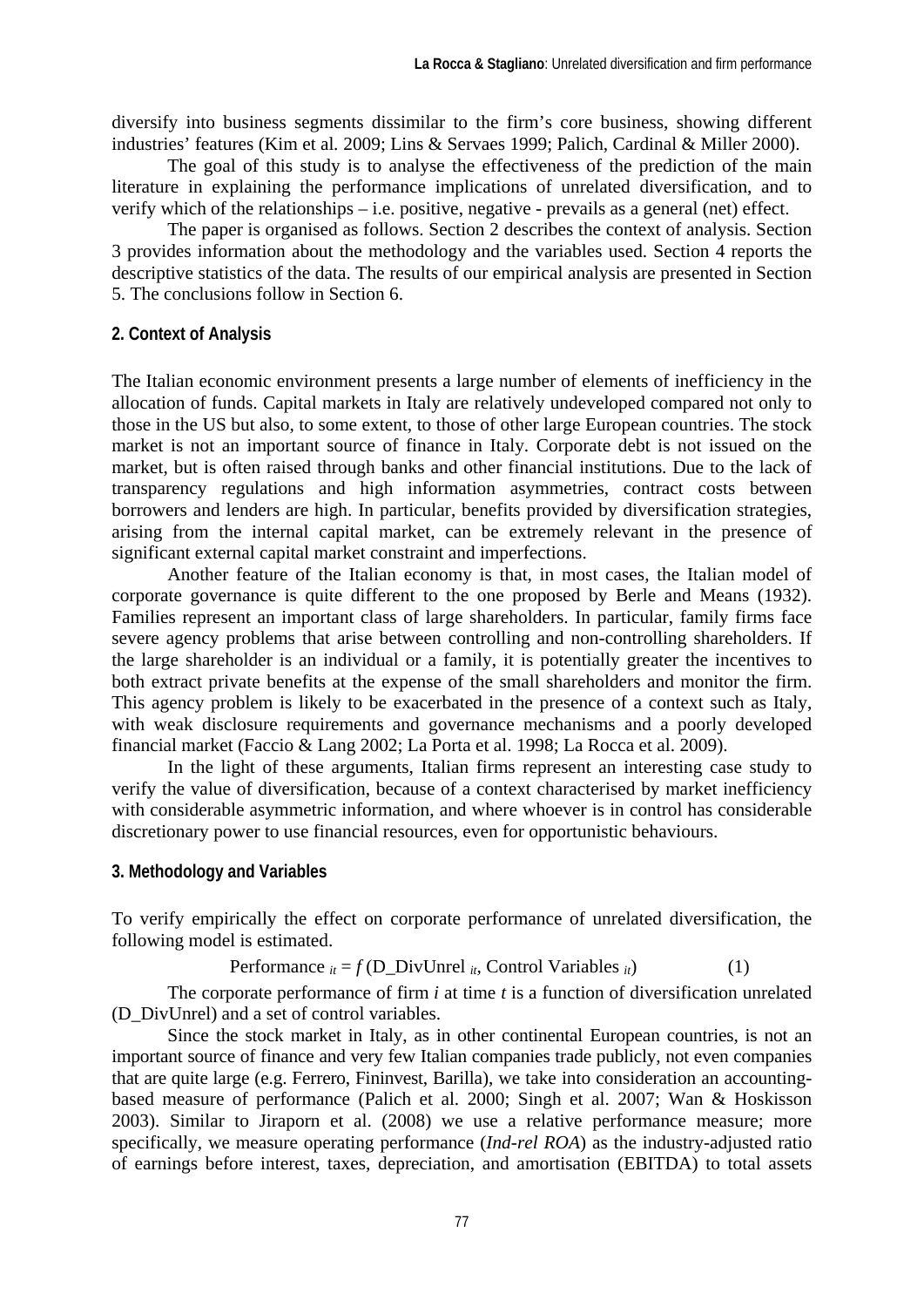diversify into business segments dissimilar to the firm's core business, showing different industries' features (Kim et al*.* 2009; Lins & Servaes 1999; Palich, Cardinal & Miller 2000).

The goal of this study is to analyse the effectiveness of the prediction of the main literature in explaining the performance implications of unrelated diversification, and to verify which of the relationships – i.e. positive, negative - prevails as a general (net) effect.

The paper is organised as follows. Section 2 describes the context of analysis. Section 3 provides information about the methodology and the variables used. Section 4 reports the descriptive statistics of the data. The results of our empirical analysis are presented in Section 5. The conclusions follow in Section 6.

#### **2. Context of Analysis**

The Italian economic environment presents a large number of elements of inefficiency in the allocation of funds. Capital markets in Italy are relatively undeveloped compared not only to those in the US but also, to some extent, to those of other large European countries. The stock market is not an important source of finance in Italy. Corporate debt is not issued on the market, but is often raised through banks and other financial institutions. Due to the lack of transparency regulations and high information asymmetries, contract costs between borrowers and lenders are high. In particular, benefits provided by diversification strategies, arising from the internal capital market, can be extremely relevant in the presence of significant external capital market constraint and imperfections.

Another feature of the Italian economy is that, in most cases, the Italian model of corporate governance is quite different to the one proposed by Berle and Means (1932). Families represent an important class of large shareholders. In particular, family firms face severe agency problems that arise between controlling and non-controlling shareholders. If the large shareholder is an individual or a family, it is potentially greater the incentives to both extract private benefits at the expense of the small shareholders and monitor the firm. This agency problem is likely to be exacerbated in the presence of a context such as Italy, with weak disclosure requirements and governance mechanisms and a poorly developed financial market (Faccio & Lang 2002; La Porta et al. 1998; La Rocca et al. 2009).

In the light of these arguments, Italian firms represent an interesting case study to verify the value of diversification, because of a context characterised by market inefficiency with considerable asymmetric information, and where whoever is in control has considerable discretionary power to use financial resources, even for opportunistic behaviours.

#### **3. Methodology and Variables**

To verify empirically the effect on corporate performance of unrelated diversification, the following model is estimated.

Performance 
$$
_{it} = f(D_DivUnrel_{it}, Control Variables_{it})
$$
 (1)

The corporate performance of firm *i* at time *t* is a function of diversification unrelated (D\_DivUnrel) and a set of control variables.

Since the stock market in Italy, as in other continental European countries, is not an important source of finance and very few Italian companies trade publicly, not even companies that are quite large (e.g. Ferrero, Fininvest, Barilla), we take into consideration an accountingbased measure of performance (Palich et al. 2000; Singh et al. 2007; Wan & Hoskisson 2003). Similar to Jiraporn et al. (2008) we use a relative performance measure; more specifically, we measure operating performance (*Ind-rel ROA*) as the industry-adjusted ratio of earnings before interest, taxes, depreciation, and amortisation (EBITDA) to total assets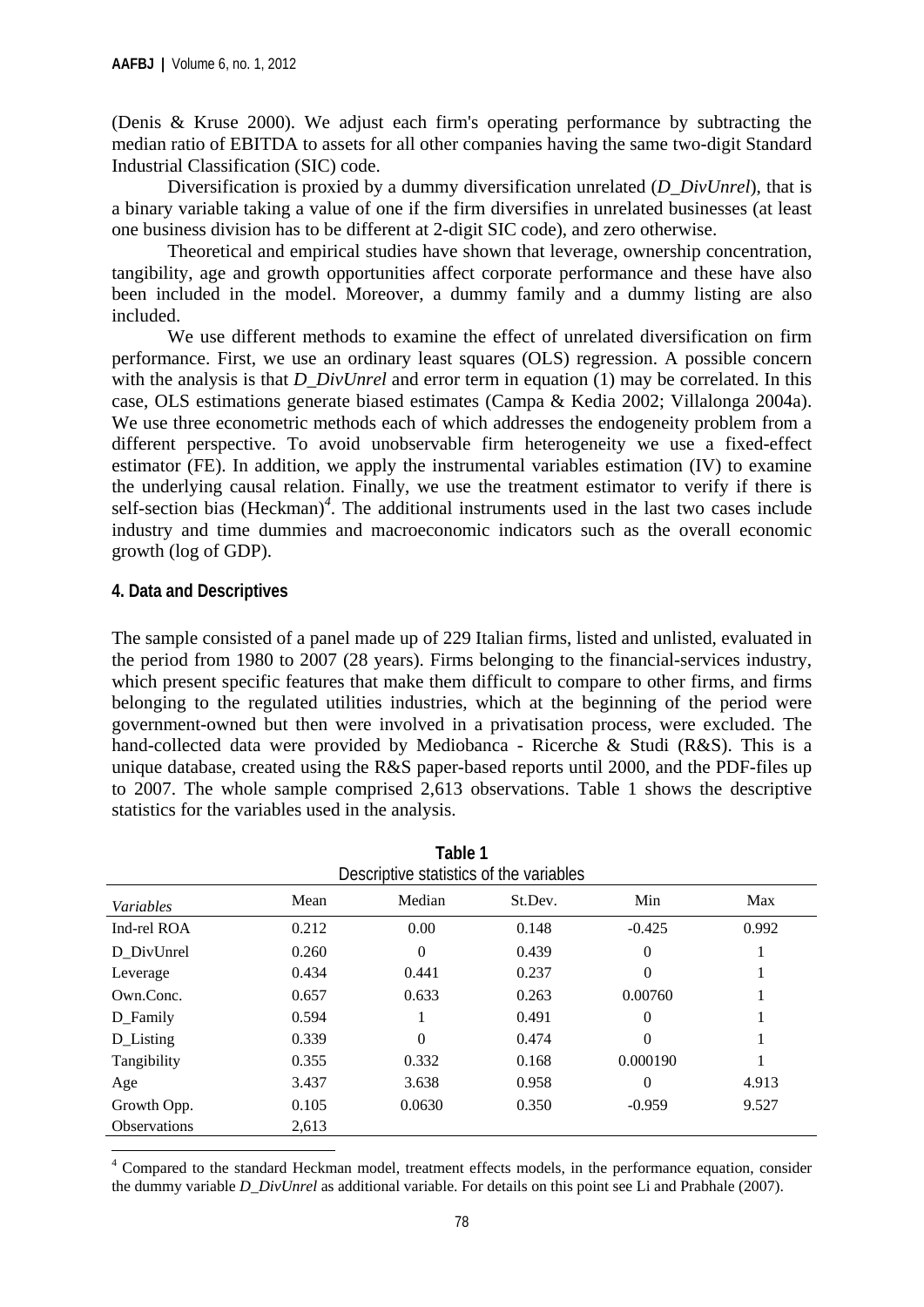(Denis & Kruse 2000). We adjust each firm's operating performance by subtracting the median ratio of EBITDA to assets for all other companies having the same two-digit Standard Industrial Classification (SIC) code.

Diversification is proxied by a dummy diversification unrelated (*D\_DivUnrel*), that is a binary variable taking a value of one if the firm diversifies in unrelated businesses (at least one business division has to be different at 2-digit SIC code), and zero otherwise.

Theoretical and empirical studies have shown that leverage, ownership concentration, tangibility, age and growth opportunities affect corporate performance and these have also been included in the model. Moreover, a dummy family and a dummy listing are also included.

We use different methods to examine the effect of unrelated diversification on firm performance. First, we use an ordinary least squares (OLS) regression. A possible concern with the analysis is that *D\_DivUnrel* and error term in equation (1) may be correlated. In this case, OLS estimations generate biased estimates (Campa & Kedia 2002; Villalonga 2004a). We use three econometric methods each of which addresses the endogeneity problem from a different perspective. To avoid unobservable firm heterogeneity we use a fixed-effect estimator (FE). In addition, we apply the instrumental variables estimation (IV) to examine the underlying causal relation. Finally, we use the treatment estimator to verify if there is self-section bias (Heckman)<sup>4</sup>. The additional instruments used in the last two cases include industry and time dummies and macroeconomic indicators such as the overall economic growth (log of GDP).

# **4. Data and Descriptives**

The sample consisted of a panel made up of 229 Italian firms, listed and unlisted, evaluated in the period from 1980 to 2007 (28 years). Firms belonging to the financial-services industry, which present specific features that make them difficult to compare to other firms, and firms belonging to the regulated utilities industries, which at the beginning of the period were government-owned but then were involved in a privatisation process, were excluded. The hand-collected data were provided by Mediobanca - Ricerche & Studi (R&S). This is a unique database, created using the R&S paper-based reports until 2000, and the PDF-files up to 2007. The whole sample comprised 2,613 observations. Table 1 shows the descriptive statistics for the variables used in the analysis.

**Table 1** 

| Descriptive statistics of the variables |       |          |         |          |       |  |  |
|-----------------------------------------|-------|----------|---------|----------|-------|--|--|
| <i>Variables</i>                        | Mean  | Median   | St.Dev. | Min      | Max   |  |  |
| Ind-rel ROA                             | 0.212 | 0.00     | 0.148   | $-0.425$ | 0.992 |  |  |
| D_DivUnrel                              | 0.260 | $\Omega$ | 0.439   | $\Omega$ |       |  |  |
| Leverage                                | 0.434 | 0.441    | 0.237   | $\Omega$ |       |  |  |
| Own.Conc.                               | 0.657 | 0.633    | 0.263   | 0.00760  |       |  |  |
| D_Family                                | 0.594 |          | 0.491   | $\Omega$ |       |  |  |
| D_Listing                               | 0.339 | $\Omega$ | 0.474   | $\Omega$ |       |  |  |
| Tangibility                             | 0.355 | 0.332    | 0.168   | 0.000190 |       |  |  |
| Age                                     | 3.437 | 3.638    | 0.958   | $\Omega$ | 4.913 |  |  |
| Growth Opp.                             | 0.105 | 0.0630   | 0.350   | $-0.959$ | 9.527 |  |  |
| <b>Observations</b>                     | 2,613 |          |         |          |       |  |  |

<sup>4</sup> Compared to the standard Heckman model, treatment effects models, in the performance equation, consider the dummy variable *D\_DivUnrel* as additional variable. For details on this point see Li and Prabhale (2007).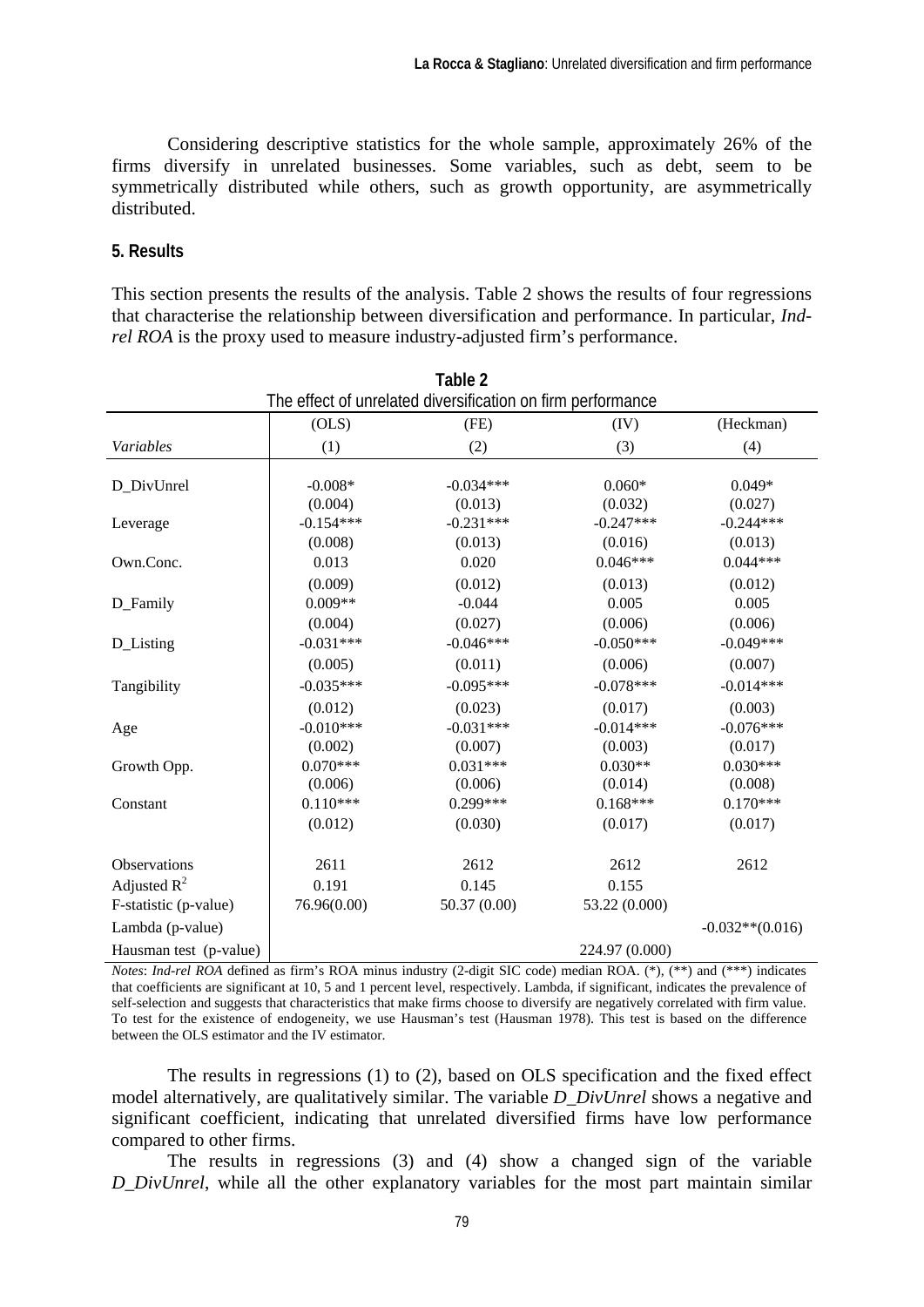Considering descriptive statistics for the whole sample, approximately 26% of the firms diversify in unrelated businesses. Some variables, such as debt, seem to be symmetrically distributed while others, such as growth opportunity, are asymmetrically distributed.

#### **5. Results**

This section presents the results of the analysis. Table 2 shows the results of four regressions that characterise the relationship between diversification and performance. In particular, *Indrel ROA* is the proxy used to measure industry-adjusted firm's performance.

| Table 2                                                     |                      |                        |                     |                     |  |  |  |  |
|-------------------------------------------------------------|----------------------|------------------------|---------------------|---------------------|--|--|--|--|
| The effect of unrelated diversification on firm performance |                      |                        |                     |                     |  |  |  |  |
|                                                             | (OLS)                | (FE)                   | (IV)                | (Heckman)           |  |  |  |  |
| Variables                                                   | (1)                  | (2)                    | (3)                 | (4)                 |  |  |  |  |
| D_DivUnrel                                                  | $-0.008*$<br>(0.004) | $-0.034***$<br>(0.013) | $0.060*$<br>(0.032) | $0.049*$<br>(0.027) |  |  |  |  |
| Leverage                                                    | $-0.154***$          | $-0.231***$            | $-0.247***$         | $-0.244***$         |  |  |  |  |
|                                                             | (0.008)              | (0.013)                | (0.016)             | (0.013)             |  |  |  |  |
| Own.Conc.                                                   | 0.013                | 0.020                  | $0.046***$          | $0.044***$          |  |  |  |  |
|                                                             | (0.009)              | (0.012)                | (0.013)             | (0.012)             |  |  |  |  |
| D_Family                                                    | $0.009**$            | $-0.044$               | 0.005               | 0.005               |  |  |  |  |
|                                                             | (0.004)              | (0.027)                | (0.006)             | (0.006)             |  |  |  |  |
| D_Listing                                                   | $-0.031***$          | $-0.046***$            | $-0.050***$         | $-0.049***$         |  |  |  |  |
|                                                             | (0.005)              | (0.011)                | (0.006)             | (0.007)             |  |  |  |  |
| Tangibility                                                 | $-0.035***$          | $-0.095***$            | $-0.078***$         | $-0.014***$         |  |  |  |  |
|                                                             | (0.012)              | (0.023)                | (0.017)             | (0.003)             |  |  |  |  |
| Age                                                         | $-0.010***$          | $-0.031***$            | $-0.014***$         | $-0.076***$         |  |  |  |  |
|                                                             | (0.002)              | (0.007)                | (0.003)             | (0.017)             |  |  |  |  |
| Growth Opp.                                                 | $0.070***$           | $0.031***$             | $0.030**$           | $0.030***$          |  |  |  |  |
|                                                             | (0.006)              | (0.006)                | (0.014)             | (0.008)             |  |  |  |  |
| Constant                                                    | $0.110***$           | $0.299***$             | $0.168***$          | $0.170***$          |  |  |  |  |
|                                                             | (0.012)              | (0.030)                | (0.017)             | (0.017)             |  |  |  |  |
| Observations                                                | 2611                 | 2612                   | 2612                | 2612                |  |  |  |  |
| Adjusted $R^2$                                              | 0.191                | 0.145                  | 0.155               |                     |  |  |  |  |
| F-statistic (p-value)                                       | 76.96(0.00)          | 50.37 (0.00)           | 53.22 (0.000)       |                     |  |  |  |  |
| Lambda (p-value)                                            |                      |                        |                     | $-0.032**$ (0.016)  |  |  |  |  |
| Hausman test (p-value)                                      |                      |                        | 224.97 (0.000)      |                     |  |  |  |  |

*Notes*: *Ind-rel ROA* defined as firm's ROA minus industry (2-digit SIC code) median ROA. (\*), (\*\*) and (\*\*\*) indicates that coefficients are significant at 10, 5 and 1 percent level, respectively. Lambda, if significant, indicates the prevalence of self-selection and suggests that characteristics that make firms choose to diversify are negatively correlated with firm value. To test for the existence of endogeneity, we use Hausman's test (Hausman 1978). This test is based on the difference between the OLS estimator and the IV estimator.

The results in regressions (1) to (2), based on OLS specification and the fixed effect model alternatively, are qualitatively similar. The variable *D\_DivUnrel* shows a negative and significant coefficient, indicating that unrelated diversified firms have low performance compared to other firms.

The results in regressions (3) and (4) show a changed sign of the variable *D\_DivUnrel*, while all the other explanatory variables for the most part maintain similar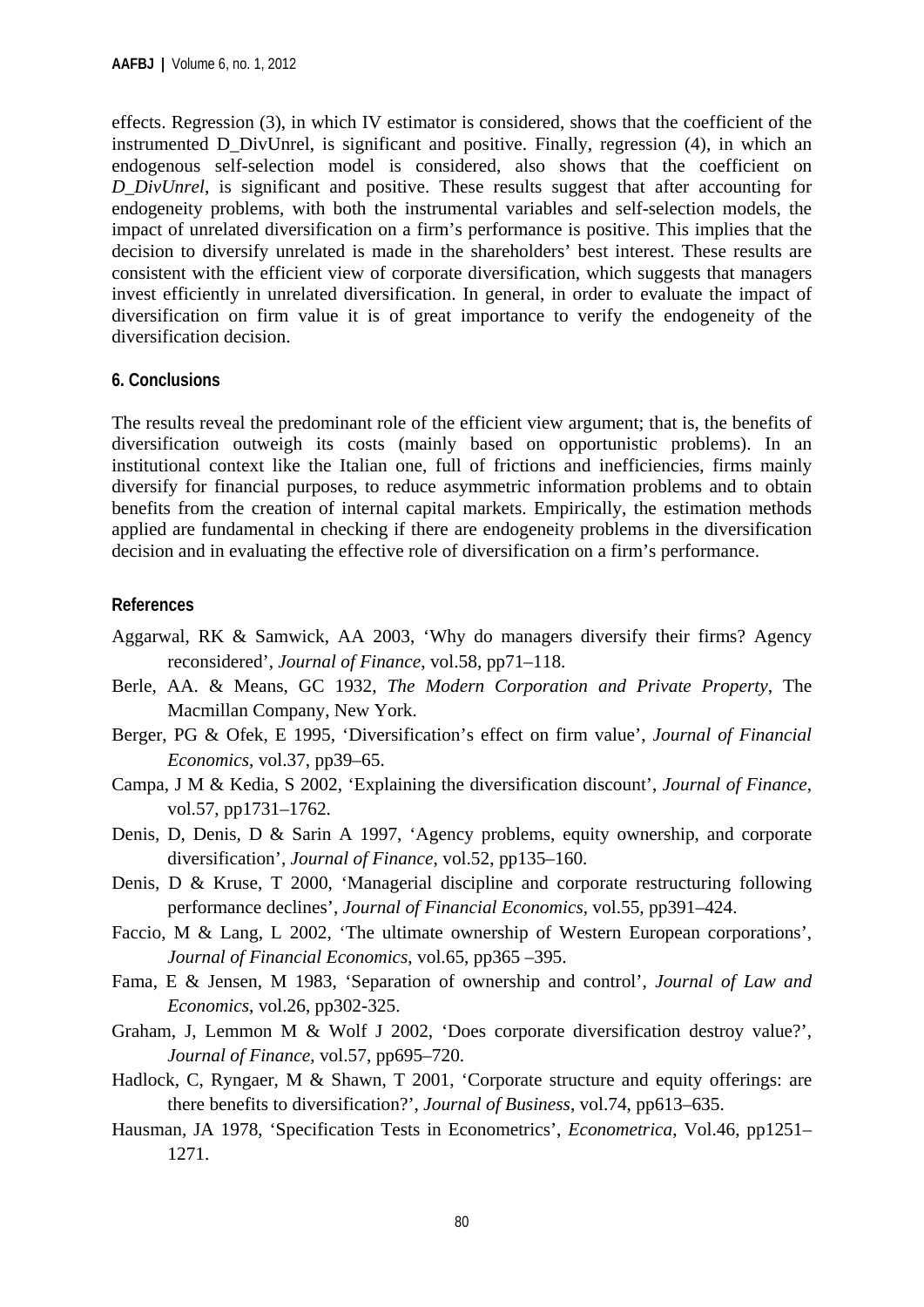effects. Regression (3), in which IV estimator is considered, shows that the coefficient of the instrumented D\_DivUnrel, is significant and positive. Finally, regression (4), in which an endogenous self-selection model is considered, also shows that the coefficient on *D\_DivUnrel*, is significant and positive. These results suggest that after accounting for endogeneity problems, with both the instrumental variables and self-selection models, the impact of unrelated diversification on a firm's performance is positive. This implies that the decision to diversify unrelated is made in the shareholders' best interest. These results are consistent with the efficient view of corporate diversification, which suggests that managers invest efficiently in unrelated diversification. In general, in order to evaluate the impact of diversification on firm value it is of great importance to verify the endogeneity of the diversification decision.

# **6. Conclusions**

The results reveal the predominant role of the efficient view argument; that is, the benefits of diversification outweigh its costs (mainly based on opportunistic problems). In an institutional context like the Italian one, full of frictions and inefficiencies, firms mainly diversify for financial purposes, to reduce asymmetric information problems and to obtain benefits from the creation of internal capital markets. Empirically, the estimation methods applied are fundamental in checking if there are endogeneity problems in the diversification decision and in evaluating the effective role of diversification on a firm's performance.

# **References**

- Aggarwal, RK & Samwick, AA 2003, 'Why do managers diversify their firms? Agency reconsidered', *Journal of Finance*, vol.58, pp71–118.
- Berle, AA. & Means, GC 1932, *The Modern Corporation and Private Property*, The Macmillan Company, New York.
- Berger, PG & Ofek, E 1995, 'Diversification's effect on firm value', *Journal of Financial Economics*, vol.37, pp39–65.
- Campa, J M & Kedia, S 2002, 'Explaining the diversification discount', *Journal of Finance*, vol.57, pp1731–1762.
- Denis, D, Denis, D & Sarin A 1997, 'Agency problems, equity ownership, and corporate diversification', *Journal of Finance*, vol.52, pp135–160.
- Denis, D & Kruse, T 2000, 'Managerial discipline and corporate restructuring following performance declines', *Journal of Financial Economics*, vol.55, pp391–424.
- Faccio, M & Lang, L 2002, 'The ultimate ownership of Western European corporations', *Journal of Financial Economics*, vol.65, pp365 –395.
- Fama, E & Jensen, M 1983, 'Separation of ownership and control', *Journal of Law and Economics*, vol.26, pp302-325.
- Graham, J, Lemmon M & Wolf J 2002, 'Does corporate diversification destroy value?', *Journal of Finance*, vol.57, pp695–720.
- Hadlock, C, Ryngaer, M & Shawn, T 2001, 'Corporate structure and equity offerings: are there benefits to diversification?', *Journal of Business*, vol.74, pp613–635.
- Hausman, JA 1978, 'Specification Tests in Econometrics', *Econometrica*, Vol.46, pp1251– 1271.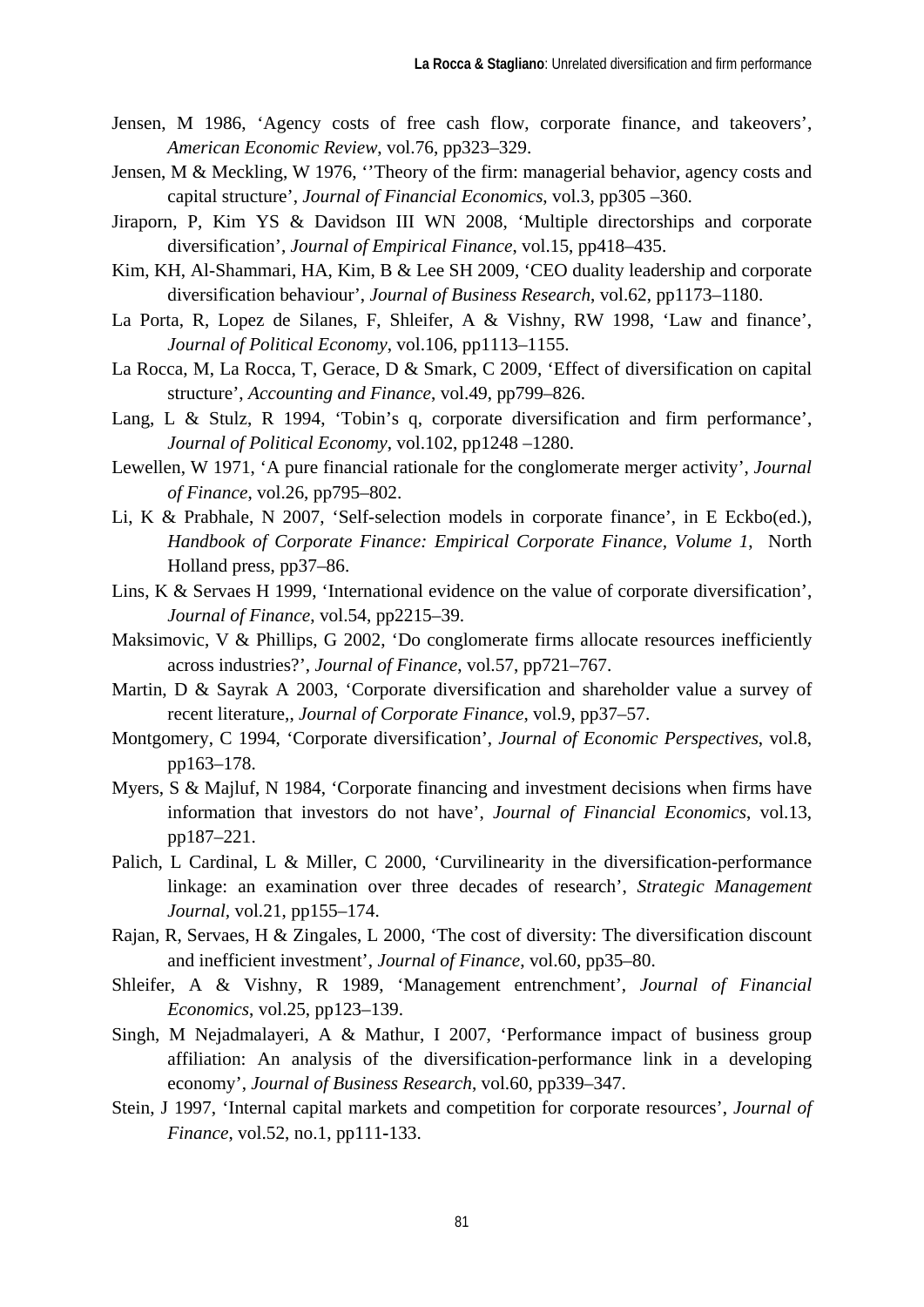- Jensen, M 1986, 'Agency costs of free cash flow, corporate finance, and takeovers', *American Economic Review*, vol.76, pp323–329.
- Jensen, M & Meckling, W 1976, ''Theory of the firm: managerial behavior, agency costs and capital structure', *Journal of Financial Economics*, vol.3, pp305 –360.
- Jiraporn, P, Kim YS & Davidson III WN 2008, 'Multiple directorships and corporate diversification', *Journal of Empirical Finance*, vol.15, pp418–435.
- Kim, KH, Al-Shammari, HA, Kim, B & Lee SH 2009, 'CEO duality leadership and corporate diversification behaviour', *Journal of Business Research*, vol.62, pp1173–1180.
- La Porta, R, Lopez de Silanes, F, Shleifer, A & Vishny, RW 1998, 'Law and finance', *Journal of Political Economy*, vol.106, pp1113–1155.
- La Rocca, M, La Rocca, T, Gerace, D & Smark, C 2009, 'Effect of diversification on capital structure', *Accounting and Finance*, vol.49, pp799–826.
- Lang, L & Stulz, R 1994, 'Tobin's q, corporate diversification and firm performance', *Journal of Political Economy*, vol.102, pp1248 –1280.
- Lewellen, W 1971, 'A pure financial rationale for the conglomerate merger activity', *Journal of Finance*, vol.26, pp795–802.
- Li, K & Prabhale, N 2007, 'Self-selection models in corporate finance', in E Eckbo(ed.), *Handbook of Corporate Finance: Empirical Corporate Finance, Volume 1*, North Holland press, pp37–86.
- Lins, K & Servaes H 1999, 'International evidence on the value of corporate diversification', *Journal of Finance*, vol.54, pp2215–39.
- Maksimovic, V & Phillips, G 2002, 'Do conglomerate firms allocate resources inefficiently across industries?', *Journal of Finance*, vol.57, pp721–767.
- Martin, D & Sayrak A 2003, 'Corporate diversification and shareholder value a survey of recent literature,, *Journal of Corporate Finance*, vol.9, pp37–57.
- Montgomery, C 1994, 'Corporate diversification', *Journal of Economic Perspectives*, vol.8, pp163–178.
- Myers, S & Majluf, N 1984, 'Corporate financing and investment decisions when firms have information that investors do not have', *Journal of Financial Economics*, vol.13, pp187–221.
- Palich, L Cardinal, L & Miller, C 2000, 'Curvilinearity in the diversification-performance linkage: an examination over three decades of research', *Strategic Management Journal,* vol.21, pp155–174.
- Rajan, R, Servaes, H & Zingales, L 2000, 'The cost of diversity: The diversification discount and inefficient investment', *Journal of Finance*, vol.60, pp35–80.
- Shleifer, A & Vishny, R 1989, 'Management entrenchment', *Journal of Financial Economics*, vol.25, pp123–139.
- Singh, M Nejadmalayeri, A & Mathur, I 2007, 'Performance impact of business group affiliation: An analysis of the diversification-performance link in a developing economy', *Journal of Business Research*, vol.60, pp339–347.
- Stein, J 1997, 'Internal capital markets and competition for corporate resources', *Journal of Finance*, vol.52, no.1, pp111**-**133.